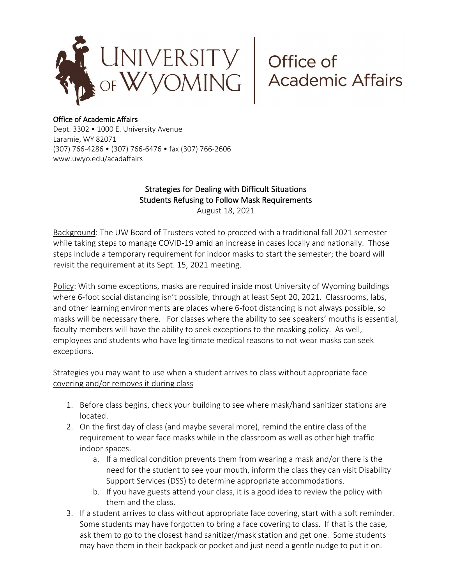

## Office of Academic Affairs

Dept. 3302 • 1000 E. University Avenue Laramie, WY 82071 (307) 766-4286 • (307) 766-6476 • fax (307) 766-2606 www.uwyo.edu/acadaffairs

## Strategies for Dealing with Difficult Situations Students Refusing to Follow Mask Requirements

August 18, 2021

Background: The UW Board of Trustees voted to proceed with a traditional fall 2021 semester while taking steps to manage COVID-19 amid an increase in cases locally and nationally. Those steps include a temporary requirement for indoor masks to start the semester; the board will revisit the requirement at its Sept. 15, 2021 meeting.

Policy: With some exceptions, masks are required inside most University of Wyoming buildings where 6-foot social distancing isn't possible, through at least Sept 20, 2021. Classrooms, labs, and other learning environments are places where 6-foot distancing is not always possible, so masks will be necessary there. For classes where the ability to see speakers' mouths is essential, faculty members will have the ability to seek exceptions to the masking policy. As well, employees and students who have legitimate medical reasons to not wear masks can seek exceptions.

## Strategies you may want to use when a student arrives to class without appropriate face covering and/or removes it during class

- 1. Before class begins, check your building to see where mask/hand sanitizer stations are located.
- 2. On the first day of class (and maybe several more), remind the entire class of the requirement to wear face masks while in the classroom as well as other high traffic indoor spaces.
	- a. If a medical condition prevents them from wearing a mask and/or there is the need for the student to see your mouth, inform the class they can visit Disability Support Services (DSS) to determine appropriate accommodations.
	- b. If you have guests attend your class, it is a good idea to review the policy with them and the class.
- 3. If a student arrives to class without appropriate face covering, start with a soft reminder. Some students may have forgotten to bring a face covering to class. If that is the case, ask them to go to the closest hand sanitizer/mask station and get one. Some students may have them in their backpack or pocket and just need a gentle nudge to put it on.